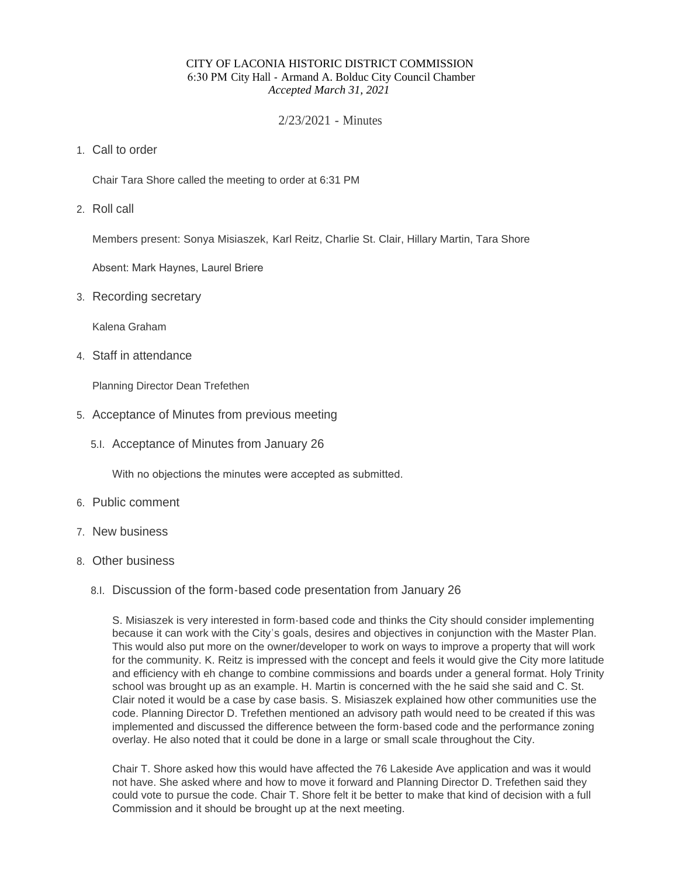#### CITY OF LACONIA HISTORIC DISTRICT COMMISSION 6:30 PM City Hall - Armand A. Bolduc City Council Chamber *Accepted March 31, 2021*

### 2/23/2021 - Minutes

Call to order 1.

Chair Tara Shore called the meeting to order at 6:31 PM

2. Roll call

Members present: Sonya Misiaszek, Karl Reitz, Charlie St. Clair, Hillary Martin, Tara Shore

Absent: Mark Haynes, Laurel Briere

3. Recording secretary

Kalena Graham

Staff in attendance 4.

Planning Director Dean Trefethen

- 5. Acceptance of Minutes from previous meeting
	- 5.I. Acceptance of Minutes from January 26

With no objections the minutes were accepted as submitted.

- 6. Public comment
- 7. New business
- Other business 8.
	- 8.I. Discussion of the form-based code presentation from January 26

S. Misiaszek is very interested in form-based code and thinks the City should consider implementing because it can work with the City's goals, desires and objectives in conjunction with the Master Plan. This would also put more on the owner/developer to work on ways to improve a property that will work for the community. K. Reitz is impressed with the concept and feels it would give the City more latitude and efficiency with eh change to combine commissions and boards under a general format. Holy Trinity school was brought up as an example. H. Martin is concerned with the he said she said and C. St. Clair noted it would be a case by case basis. S. Misiaszek explained how other communities use the code. Planning Director D. Trefethen mentioned an advisory path would need to be created if this was implemented and discussed the difference between the form-based code and the performance zoning overlay. He also noted that it could be done in a large or small scale throughout the City.

Chair T. Shore asked how this would have affected the 76 Lakeside Ave application and was it would not have. She asked where and how to move it forward and Planning Director D. Trefethen said they could vote to pursue the code. Chair T. Shore felt it be better to make that kind of decision with a full Commission and it should be brought up at the next meeting.